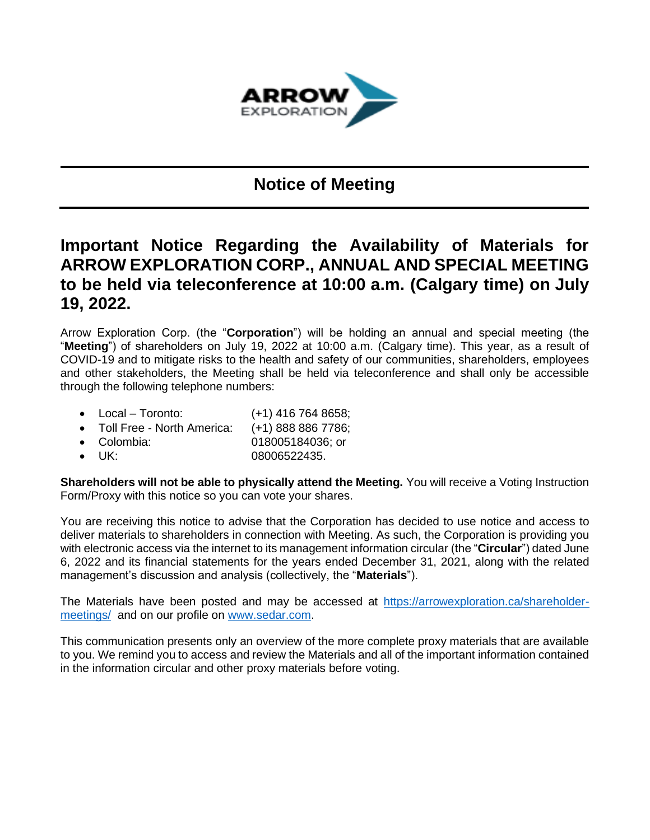

## **Notice of Meeting**

## **Important Notice Regarding the Availability of Materials for ARROW EXPLORATION CORP., ANNUAL AND SPECIAL MEETING to be held via teleconference at 10:00 a.m. (Calgary time) on July 19, 2022.**

Arrow Exploration Corp. (the "**Corporation**") will be holding an annual and special meeting (the "**Meeting**") of shareholders on July 19, 2022 at 10:00 a.m. (Calgary time). This year, as a result of COVID-19 and to mitigate risks to the health and safety of our communities, shareholders, employees and other stakeholders, the Meeting shall be held via teleconference and shall only be accessible through the following telephone numbers:

- Local Toronto: (+1) 416 764 8658;
- Toll Free North America: (+1) 888 886 7786;
- Colombia: 018005184036; or
- UK: 08006522435.

**Shareholders will not be able to physically attend the Meeting.** You will receive a Voting Instruction Form/Proxy with this notice so you can vote your shares.

You are receiving this notice to advise that the Corporation has decided to use notice and access to deliver materials to shareholders in connection with Meeting. As such, the Corporation is providing you with electronic access via the internet to its management information circular (the "**Circular**") dated June 6, 2022 and its financial statements for the years ended December 31, 2021, along with the related management's discussion and analysis (collectively, the "**Materials**").

The Materials have been posted and may be accessed at [https://arrowexploration.ca/shareholder](https://arrowexploration.ca/shareholder-meetings/)[meetings/](https://arrowexploration.ca/shareholder-meetings/) and on our profile on [www.sedar.com.](http://www.sedar.com/)

This communication presents only an overview of the more complete proxy materials that are available to you. We remind you to access and review the Materials and all of the important information contained in the information circular and other proxy materials before voting.